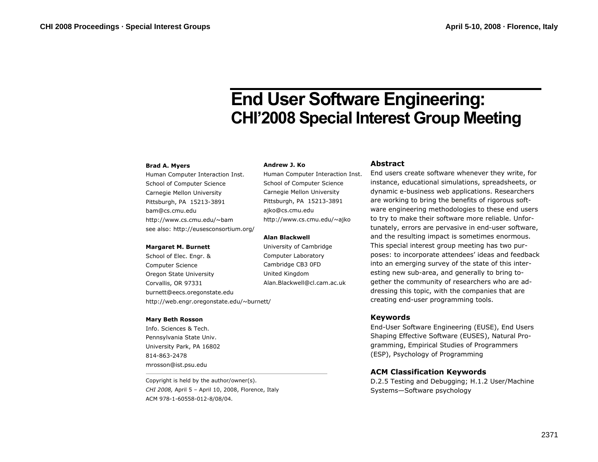# **End User Software Engineering: CHI'2008 Special Interest Group Meeting**

#### **Brad A. Myers**

Human Computer Interaction Inst. School of Computer Science Carnegie Mellon University Pittsburgh, PA 15213-3891 bam@cs.cmu.edu http://www.cs.cmu.edu/~bam see also: http://eusesconsortium.org/

#### **Margaret M. Burnett**

School of Elec. Engr. & Computer Science Oregon State University Corvallis, OR 97331 burnett@eecs.oregonstate.edu http://web.engr.oregonstate.edu/~burnett/

#### **Mary Beth Rosson**

Info. Sciences & Tech. Pennsylvania State Univ. University Park, PA 16802 814-863-2478 mrosson@ist.psu.edu

Copyright is held by the author/owner(s). *CHI 2008,* April 5 – April 10, 2008, Florence, Italy ACM 978-1-60558-012-8/08/04.

#### **Andrew J. Ko**

Human Computer Interaction Inst. School of Computer Science Carnegie Mellon University Pittsburgh, PA 15213-3891 ajko@cs.cmu.edu http://www.cs.cmu.edu/~ajko

#### **Alan Blackwell**

University of Cambridge Computer Laboratory Cambridge CB3 0FD United Kingdom Alan.Blackwell@cl.cam.ac.uk

#### **Abstract**

End users create software whenever they write, for instance, educational simulations, spreadsheets, or dynamic e-business web applications. Researchers are working to bring the benefits of rigorous software engineering methodologies to these end users to try to make their software more reliable. Unfortunately, errors are pervasive in end-user software, and the resulting impact is sometimes enormous. This special interest group meeting has two purposes: to incorporate attendees' ideas and feedback into an emerging survey of the state of this interesting new sub-area, and generally to bring together the community of researchers who are addressing this topic, with the companies that are creating end-user programming tools.

### **Keywords**

End-User Software Engineering (EUSE), End Users Shaping Effective Software (EUSES), Natural Programming, Empirical Studies of Programmers (ESP), Psychology of Programming

## **ACM Classification Keywords**

D.2.5 Testing and Debugging; H.1.2 User/Machine Systems—Software psychology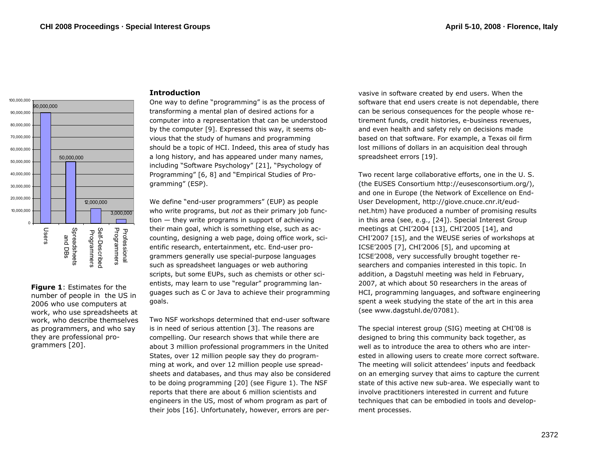

**Figure 1**: Estimates for the number of people in the US in 2006 who use computers at work, who use spreadsheets at work, who describe themselves as programmers, and who say they are professional programmers [20].

## **Introduction**

One way to define "programming" is as the process of transforming a mental plan of desired actions for a computer into a representation that can be understood by the computer [9]. Expressed this way, it seems obvious that the study of humans and programming should be a topic of HCI. Indeed, this area of study has a long history, and has appeared under many names, including "Software Psychology" [21], "Psychology of Programming" [6, 8] and "Empirical Studies of Programming" (ESP).

We define "end-user programmers" (EUP) as people who write programs, but *not* as their primary job function — they write programs in support of achieving their main goal, which is something else, such as accounting, designing a web page, doing office work, scientific research, entertainment, etc. End-user programmers generally use special-purpose languages such as spreadsheet languages or web authoring scripts, but some EUPs, such as chemists or other scientists, may learn to use "regular" programming languages such as C or Java to achieve their programming goals.

Two NSF workshops determined that end-user software is in need of serious attention [3]. The reasons are compelling. Our research shows that while there are about 3 million professional programmers in the United States, over 12 million people say they do programming at work, and over 12 million people use spreadsheets and databases, and thus may also be considered to be doing programming [20] (see Figure 1). The NSF reports that there are about 6 million scientists and engineers in the US, most of whom program as part of their jobs [16]. Unfortunately, however, errors are pervasive in software created by end users. When the software that end users create is not dependable, there can be serious consequences for the people whose re tirement funds, credit histories, e-business revenues,<br>and even health and safety rely on decisions made<br>based on that software. For example, a Texas oil firm<br>lost millions of dollars in an acquisition deal through<br>spreads

User Development, http://giove.cnuce.cnr.it/eud net.htm) have produced a number of promising results<br>in this area (see, e.g., [24]). Special Interest Group<br>meetings at CHI'2004 [13], CHI'2005 [14], and<br>CHI'2007 [15], and the WEUSE series of workshops at<br>ICSE'2005 [7], C searchers and companies interested in this topic. In<br>addition, a Dagstuhl meeting was held in February,<br>2007, at which about 50 researchers in the areas of<br>HCI, programming languages, and software engineering<br>spent a week

ested in allowing users to create more correct software.<br>The meeting will solicit attendees' inputs and feedback<br>on an emerging survey that aims to capture the current<br>state of this active new sub-area. We especially want ment processes.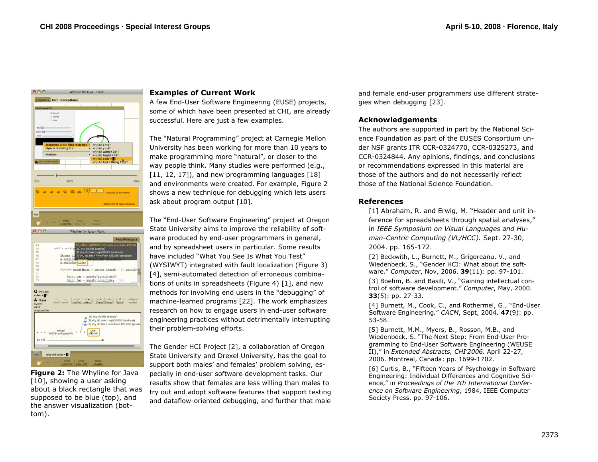

**Figure 2:** The Whyline for Java [10], showing a user asking about a black rectangle that was supposed to be blue (top), and the answer visualization (bottom).

## **Examples of Current Work**

A few End-User Software Engineering (EUSE) projects, some of which have been presented at CHI, are already successful. Here are just a few examples.

The "Natural Programming" project at Carnegie Mellon University has been working for more than 10 years to make programming more "natural", or closer to the way people think. Many studies were performed (e.g.,  $[11, 12, 17]$ , and new programming languages  $[18]$ and environments were created. For example, Figure 2 shows a new technique for debugging which lets users ask about program output [10].

The "End-User Software Engineering" project at Oregon State University aims to improve the reliability of software produced by end-user programmers in general, and by spreadsheet users in particular. Some results have included "What You See Is What You Test" (WYSIWYT) integrated with fault localization (Figure 3) [4], semi-automated detection of erroneous combinations of units in spreadsheets (Figure 4) [1], and new methods for involving end users in the "debugging" of machine-learned programs [22]. The work emphasizes research on how to engage users in end-user software engineering practices without detrimentally interrupting their problem-solving efforts.

The Gender HCI Project [2], a collaboration of Oregon State University and Drexel University, has the goal to support both males' and females' problem solving, especially in end-user software development tasks. Our results show that females are less willing than males to try out and adopt software features that support testing and dataflow-oriented debugging, and further that male and female end-user programmers use different strategies when debugging [23].

## **Acknowledgements**

The authors are supported in part by the National Science Foundation as part of the EUSES Consortium under NSF grants ITR CCR-0324770, CCR-0325273, and CCR-0324844. Any opinions, findings, and conclusions or recommendations expressed in this material are those of the authors and do not necessarily reflect those of the National Science Foundation.

## **References**

[1] Abraham, R. and Erwig, M. "Header and unit inference for spreadsheets through spatial analyses," in *IEEE Symposium on Visual Languages and Human-Centric Computing (VL/HCC).* Sept. 27-30, 2004. pp. 165-172.

[2] Beckwith, L., Burnett, M., Grigoreanu, V., and Wiedenbeck, S., "Gender HCI: What about the software*.*" *Computer*, Nov, 2006. **39**(11): pp. 97-101.

[3] Boehm, B. and Basili, V., "Gaining intellectual control of software development*.*" *Computer*, May, 2000. **33**(5): pp. 27-33.

[4] Burnett, M., Cook, C., and Rothermel, G., "End-User Software Engineering*.*" *CACM*, Sept, 2004. **47**(9): pp. 53-58.

[5] Burnett, M.M., Myers, B., Rosson, M.B., and Wiedenbeck, S. "The Next Step: From End-User Programming to End-User Software Engineering (WEUSE II)," in *Extended Abstracts, CHI'2006.* April 22-27, 2006. Montreal, Canada: pp. 1699-1702.

[6] Curtis, B., "Fifteen Years of Psychology in Software Engineering: Individual Differences and Cognitive Science," in *Proceedings of the 7th International Conference on Software Engineering*, 1984, IEEE Computer Society Press. pp. 97-106.